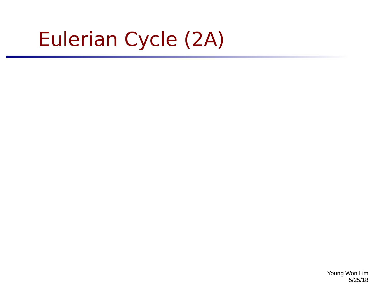# Eulerian Cycle (2A)

Young Won Lim 5/25/18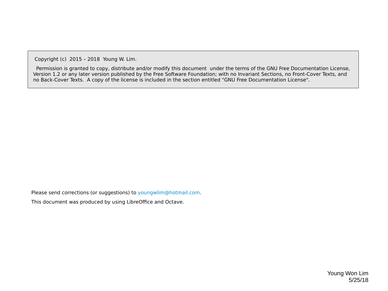Copyright (c) 2015 – 2018 Young W. Lim.

 Permission is granted to copy, distribute and/or modify this document under the terms of the GNU Free Documentation License, Version 1.2 or any later version published by the Free Software Foundation; with no Invariant Sections, no Front-Cover Texts, and no Back-Cover Texts. A copy of the license is included in the section entitled "GNU Free Documentation License".

Please send corrections (or suggestions) to [youngwlim@hotmail.com](mailto:youngwlim@hotmail.com).

This document was produced by using LibreOffice and Octave.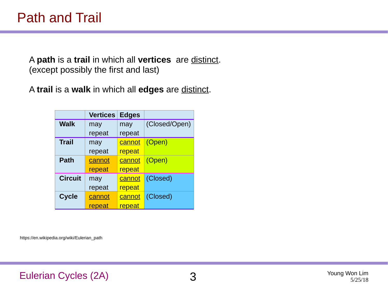A **path** is a **trail** in which all **vertices** are distinct. (except possibly the first and last)

A **trail** is a **walk** in which all **edges** are distinct.

|                | <b>Vertices</b> | <b>Edges</b>  |               |
|----------------|-----------------|---------------|---------------|
| <b>Walk</b>    | may             | may           | (Closed/Open) |
|                | repeat          | repeat        |               |
| <b>Trail</b>   | may             | <b>cannot</b> | (Open)        |
|                | repeat          | repeat        |               |
| <b>Path</b>    | cannot          | cannot        | (Open)        |
|                | repeat          | repeat        |               |
| <b>Circuit</b> | may             | <u>cannot</u> | (Closed)      |
|                | repeat          | repeat        |               |
| Cycle          | cannot          | cannot        | (Closed)      |
|                | repeat          | repeat        |               |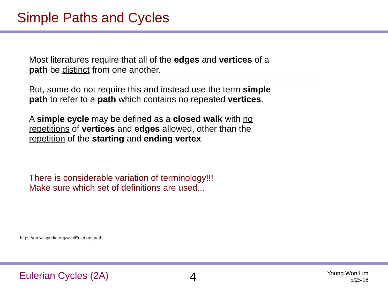Most literatures require that all of the **edges** and **vertices** of a path be distinct from one another.

But, some do not require this and instead use the term **simple path** to refer to a **path** which contains no repeated **vertices**.

A **simple cycle** may be defined as a **closed walk** with no repetitions of **vertices** and **edges** allowed, other than the repetition of the **starting** and **ending vertex**

There is considerable variation of terminology!!! Make sure which set of definitions are used...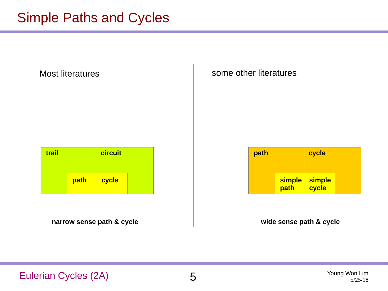Most literatures and some other literatures

| trail |      | circuit |  |
|-------|------|---------|--|
|       | path | cycle   |  |

**path cycle simple path simple cycle**

**narrow sense path & cycle wide sense path & cycle**

Eulerian Cycles (2A) 5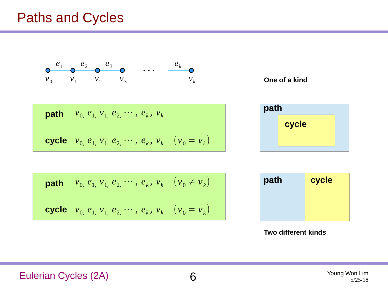$$
\begin{array}{ccccccccc}\n & e_1 & e_2 & e_3 & 0 & \cdots & e_k & 0 \\
v_0 & v_1 & v_2 & v_3 & & & v_k\n\end{array}
$$

**path** 
$$
v_0
$$
,  $e_1$ ,  $v_1$ ,  $e_2$ ,  $\cdots$ ,  $e_k$ ,  $v_k$ 

**cycle** 
$$
v_0
$$
,  $e_1$ ,  $v_1$ ,  $e_2$ ,  $\cdots$ ,  $e_k$ ,  $v_k$  ( $v_0 = v_k$ )



| cycle |  |
|-------|--|

**path** 
$$
v_0
$$
,  $e_1$ ,  $v_1$ ,  $e_2$ ,  $\cdots$ ,  $e_k$ ,  $v_k$  ( $v_0 \neq v_k$ )  
**cycle**  $v_0$ ,  $e_1$ ,  $v_1$ ,  $e_2$ ,  $\cdots$ ,  $e_k$ ,  $v_k$  ( $v_0 = v_k$ )

| path | cycle |
|------|-------|
|      |       |
|      |       |

**Two different kinds**

Eulerian Cycles (2A) 6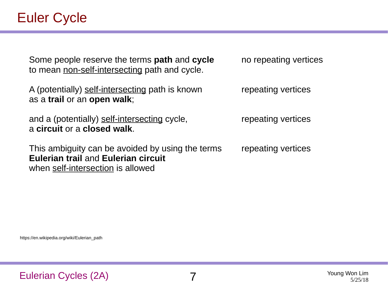Some people reserve the terms **path** and **cycle** to mean non-self-intersecting path and cycle.

A (potentially) self-intersecting path is known as a **trail** or an **open walk**;

and a (potentially) self-intersecting cycle, a **circuit** or a **closed walk**.

This ambiguity can be avoided by using the terms **Eulerian trail** and **Eulerian circuit** when self-intersection is allowed

no repeating vertices

repeating vertices

repeating vertices

repeating vertices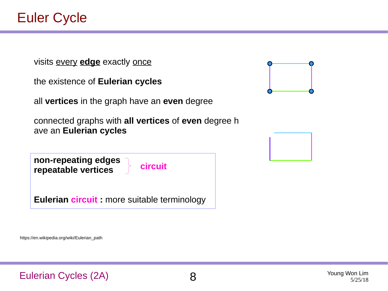visits every **edge** exactly once

| the existence of Eulerian cycles |  |  |  |  |
|----------------------------------|--|--|--|--|
|----------------------------------|--|--|--|--|

all **vertices** in the graph have an **even** degree

connected graphs with **all vertices** of **even** degree h ave an **Eulerian cycles**

**circuit**

**non-repeating edges repeatable vertices**

**Eulerian circuit :** more suitable terminology



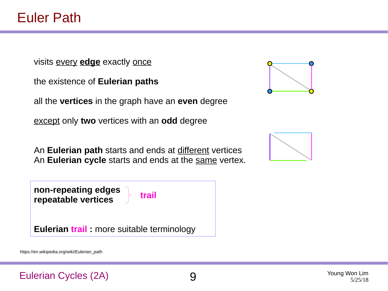visits every **edge** exactly once

the existence of **Eulerian paths**

all the **vertices** in the graph have an **even** degree

except only **two** vertices with an **odd** degree

An **Eulerian path** starts and ends at different vertices An **Eulerian cycle** starts and ends at the same vertex.



https://en.wikipedia.org/wiki/Eulerian\_path





Eulerian Cycles (2A) 9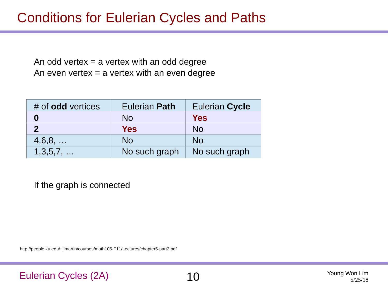### Conditions for Eulerian Cycles and Paths

An odd vertex  $=$  a vertex with an odd degree An even vertex  $=$  a vertex with an even degree

| $#$ of <b>odd</b> vertices | <b>Eulerian Path</b> | <b>Eulerian Cycle</b> |
|----------------------------|----------------------|-----------------------|
|                            | N <sub>0</sub>       | <b>Yes</b>            |
|                            | <b>Yes</b>           | N <sub>0</sub>        |
| $4,6,8, \ldots$            | <b>No</b>            | <b>No</b>             |
| $1,3,5,7, \ldots$          | No such graph        | No such graph         |

If the graph is connected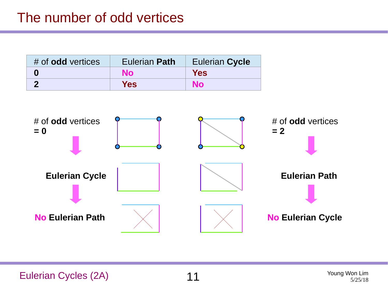| $#$ of <b>odd</b> vertices | <b>Eulerian Path</b> | <b>Eulerian Cycle</b> |
|----------------------------|----------------------|-----------------------|
|                            | <b>No</b>            | <b>Yes</b>            |
|                            | <b>Yes</b>           | <b>No</b>             |

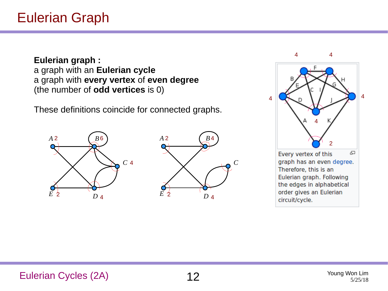**Eulerian graph :** a graph with an **Eulerian cycle** a graph with **every vertex** of **even degree** (the number of **odd vertices** is 0)

These definitions coincide for connected graphs.





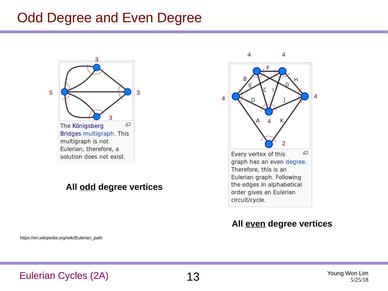### Odd Degree and Even Degree



#### **All odd degree vertices**



#### **All even degree vertices**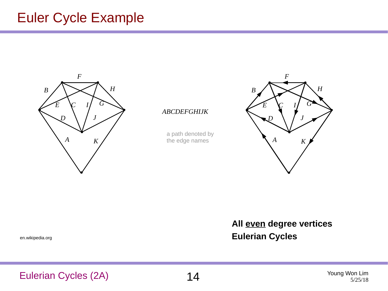### Euler Cycle Example



*ABCDEFGHIJK*

a path denoted by the edge names



**All even degree vertices Eulerian Cycles**

en.wikipedia.org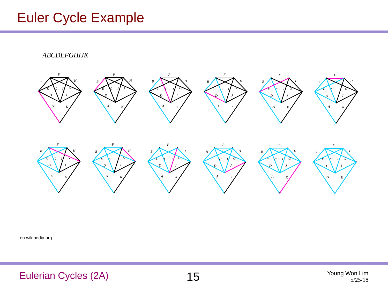### Euler Cycle Example



en.wikipedia.org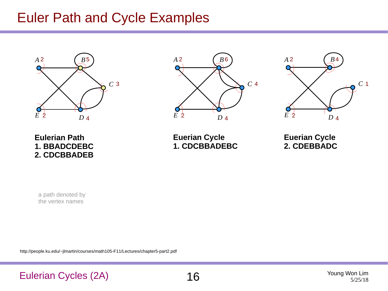### Euler Path and Cycle Examples







**Eulerian Path 1. BBADCDEBC 2. CDCBBADEB**

**Euerian Cycle 1. CDCBBADEBC**

**Euerian Cycle 2. CDEBBADC** 

a path denoted by the vertex names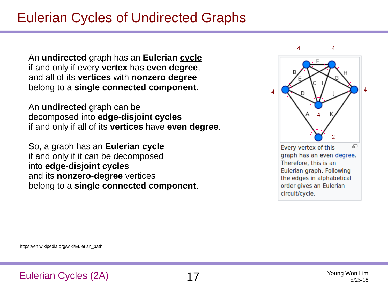### Eulerian Cycles of Undirected Graphs

An **undirected** graph has an **Eulerian cycle** if and only if every **vertex** has **even degree**, and all of its **vertices** with **nonzero degree** belong to a **single connected component**.

An **undirected** graph can be decomposed into **edge-disjoint cycles** if and only if all of its **vertices** have **even degree**.

So, a graph has an **Eulerian cycle** if and only if it can be decomposed into **edge-disjoint cycles** and its **nonzero**-**degree** vertices belong to a **single connected component**.

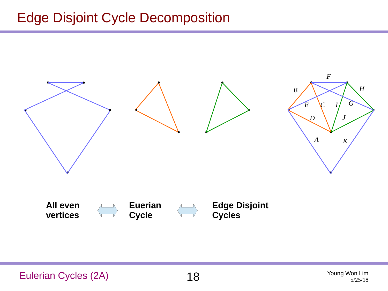## Edge Disjoint Cycle Decomposition

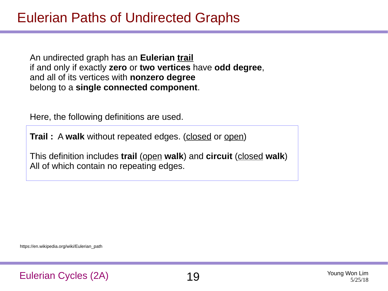An undirected graph has an **Eulerian trail** if and only if exactly **zero** or **two vertices** have **odd degree**, and all of its vertices with **nonzero degree**  belong to a **single connected component**.

Here, the following definitions are used.

**Trail :** A walk without repeated edges. (closed or open)

This definition includes **trail** (open **walk**) and **circuit** (closed **walk**) All of which contain no repeating edges.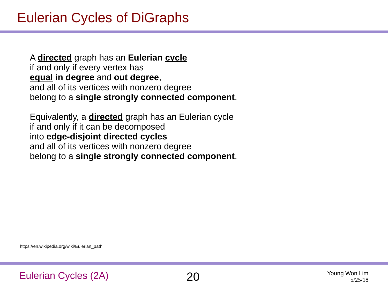A **directed** graph has an **Eulerian cycle** if and only if every vertex has **equal in degree** and **out degree**, and all of its vertices with nonzero degree belong to a **single strongly connected component**.

Equivalently, a **directed** graph has an Eulerian cycle if and only if it can be decomposed into **edge-disjoint directed cycles** and all of its vertices with nonzero degree belong to a **single strongly connected component**.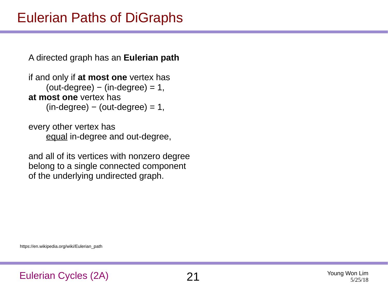## Eulerian Paths of DiGraphs

A directed graph has an **Eulerian path**

```
if and only if at most one vertex has 
    (out-degree) - (in-degree) = 1,at most one vertex has 
    (in-degree) - (out-degree) = 1,
```
every other vertex has equal in-degree and out-degree,

and all of its vertices with nonzero degree belong to a single connected component of the underlying undirected graph.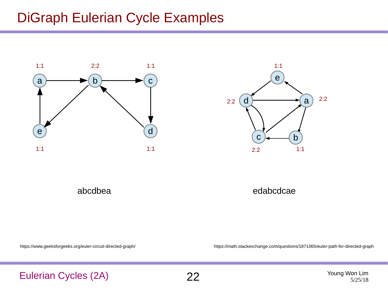### DiGraph Eulerian Cycle Examples





abcdbea

edabcdcae

https://www.geeksforgeeks.org/euler-circuit-directed-graph/

https://math.stackexchange.com/questions/1871065/euler-path-for-directed-graph

#### Eulerian Cycles (2A) 22 Young Won Lim

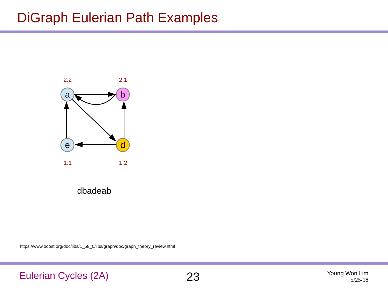### DiGraph Eulerian Path Examples



dbadeab

https://www.boost.org/doc/libs/1\_58\_0/libs/graph/doc/graph\_theory\_review.html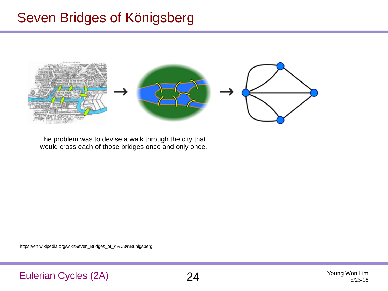### Seven Bridges of Königsberg



The problem was to devise a walk through the city that would cross each of those bridges once and only once.

https://en.wikipedia.org/wiki/Seven\_Bridges\_of\_K%C3%B6nigsberg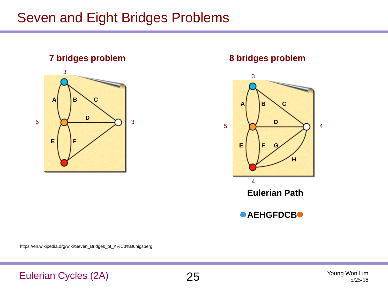### Seven and Eight Bridges Problems





https://en.wikipedia.org/wiki/Seven\_Bridges\_of\_K%C3%B6nigsberg

Eulerian Cycles (2A) 25 Young Won Lim

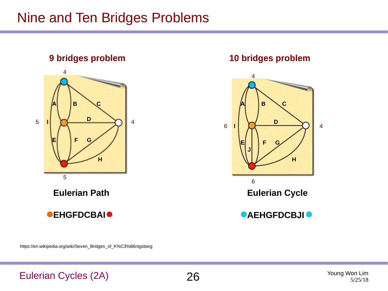### Nine and Ten Bridges Problems





https://en.wikipedia.org/wiki/Seven\_Bridges\_of\_K%C3%B6nigsberg

#### Eulerian Cycles (2A) 26 Young Won Lim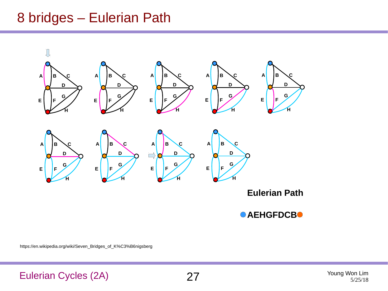### 8 bridges – Eulerian Path



**AEHGFDCB**

https://en.wikipedia.org/wiki/Seven\_Bridges\_of\_K%C3%B6nigsberg

### Eulerian Cycles (2A) 27 Young Won Lim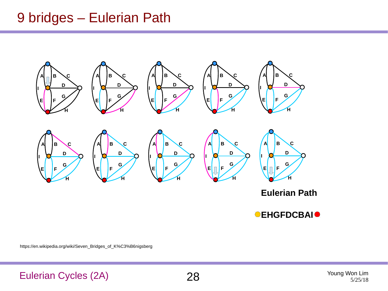### 9 bridges – Eulerian Path



**Eulerian Path**

**CEHGFDCBAIO** 

https://en.wikipedia.org/wiki/Seven\_Bridges\_of\_K%C3%B6nigsberg

Eulerian Cycles (2A) 28 Young Won Lim



5/25/18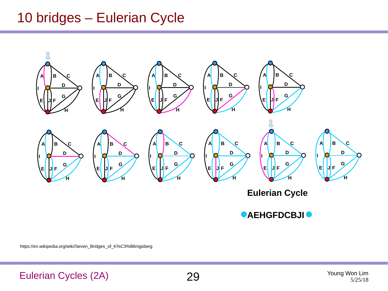### 10 bridges – Eulerian Cycle



*<b>AEHGFDCBJI* 

https://en.wikipedia.org/wiki/Seven\_Bridges\_of\_K%C3%B6nigsberg

Eulerian Cycles (2A) 29 Young Won Lim



5/25/18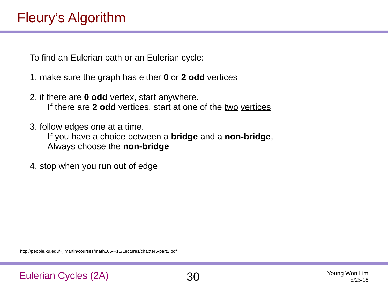### Fleury's Algorithm

To find an Eulerian path or an Eulerian cycle:

- 1. make sure the graph has either **0** or **2 odd** vertices
- 2. if there are **0 odd** vertex, start anywhere. If there are **2 odd** vertices, start at one of the two vertices
- 3. follow edges one at a time. If you have a choice between a **bridge** and a **non-bridge**, Always choose the **non-bridge**
- 4. stop when you run out of edge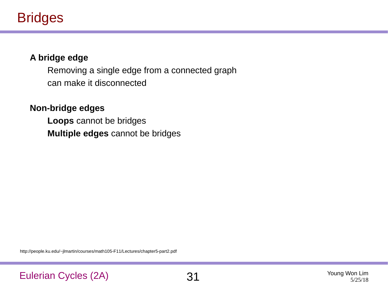### Bridges

#### **A bridge edge**

Removing a single edge from a connected graph can make it disconnected

#### **Non-bridge edges**

**Loops** cannot be bridges **Multiple edges** cannot be bridges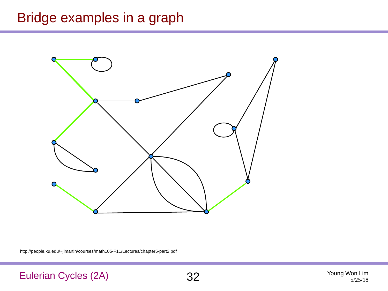### Bridge examples in a graph



http://people.ku.edu/~jlmartin/courses/math105-F11/Lectures/chapter5-part2.pdf

Eulerian Cycles (2A) 32 Young Won Lim

5/25/18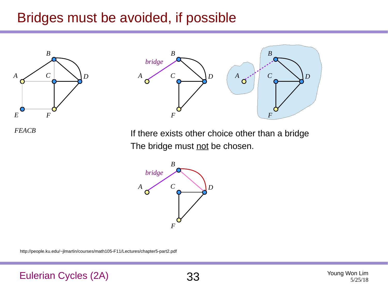### Bridges must be avoided, if possible





*FEACB*

If there exists other choice other than a bridge The bridge must not be chosen.

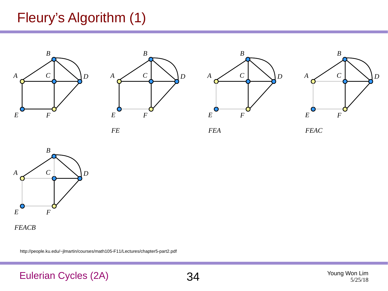### Fleury's Algorithm (1)









*FE FEA FEAC*



*FEACB*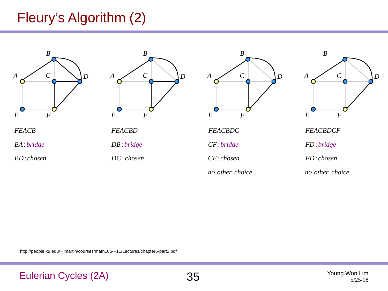### Fleury's Algorithm (2)









*no other choice*



*FEACBDCF*

*FD*: *bridge*

*no other choice*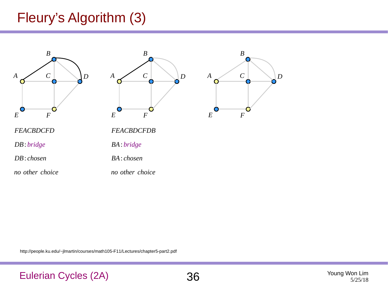### Fleury's Algorithm (3)



*DB*: *chosen*

*no other choice*

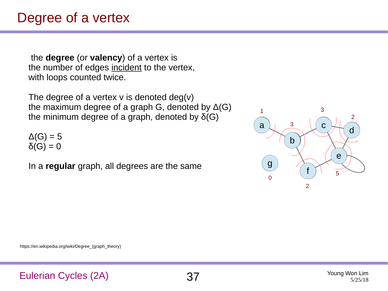### Degree of a vertex

the **degree** (or **valency**) of a vertex is the number of edges incident to the vertex, with loops counted twice.

The degree of a vertex  $v$  is denoted deg $(v)$ the maximum degree of a graph G, denoted by  $\Delta(G)$ the minimum degree of a graph, denoted by  $δ(G)$ 

 $\Delta(G) = 5$  $\delta(G) = 0$ 

In a **regular** graph, all degrees are the same



https://en.wikipedia.org/wiki/Degree (graph\_theory)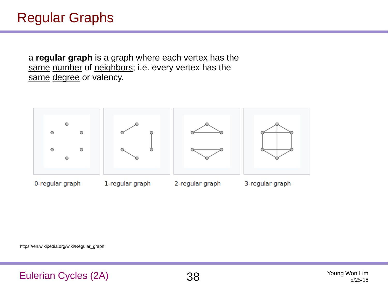a **regular graph** is a graph where each vertex has the same number of neighbors; i.e. every vertex has the same degree or valency.



https://en.wikipedia.org/wiki/Regular\_graph

Eulerian Cycles (2A) 38 Young Won Lim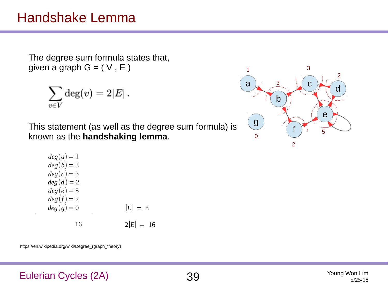### Handshake Lemma

The degree sum formula states that, given a graph  $G = (V, E)$ 

$$
\sum_{v\in V} \deg(v) = 2|E|\,.
$$

This statement (as well as the degree sum formula) is known as the **handshaking lemma**.

| $deg(a) = 1$ |             |
|--------------|-------------|
| $deg(b) = 3$ |             |
| $deg(c) = 3$ |             |
| $deg(d) = 2$ |             |
| $deg(e) = 5$ |             |
| $deg(f) = 2$ |             |
| $deg(q) = 0$ | $ E  = 8$   |
|              |             |
| 16           | $2 E  = 16$ |

https://en.wikipedia.org/wiki/Degree (graph\_theory)



### Eulerian Cycles (2A) 39 Young Won Lim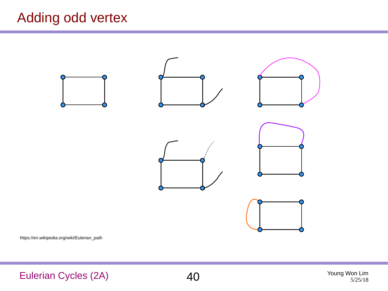## Adding odd vertex



https://en.wikipedia.org/wiki/Eulerian\_path

Eulerian Cycles (2A)  $40$  Young Won Lim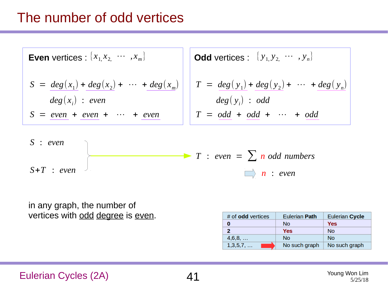### The number of odd vertices

**Even vertices** : 
$$
\{x_1, x_2, \cdots, x_m\}
$$

\n**Odd vertices** :  $\{y_1, y_2, \cdots, y_n\}$ 

\n $S = \text{deg}(x_1) + \text{deg}(x_2) + \cdots + \text{deg}(x_m)$ 

\n $T = \text{deg}(y_1) + \text{deg}(y_2) + \cdots + \text{deg}(y_n)$ 

\n $S = \text{even} + \text{even} + \cdots + \text{even}$ 

\n $T = \text{odd} + \text{odd} + \cdots + \text{odd}$ 



in any graph, the number of vertices with odd degree is even.

| $#$ of <b>odd</b> vertices | <b>Eulerian Path</b> | <b>Eulerian Cycle</b> |
|----------------------------|----------------------|-----------------------|
| 0                          | <b>No</b>            | Yes                   |
| 2                          | Yes                  | <b>No</b>             |
| 4,6,8,                     | No.                  | <b>No</b>             |
| 1,3,5,7,                   | No such graph        | No such graph         |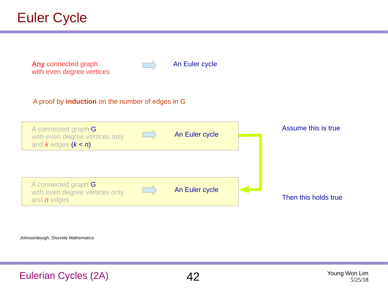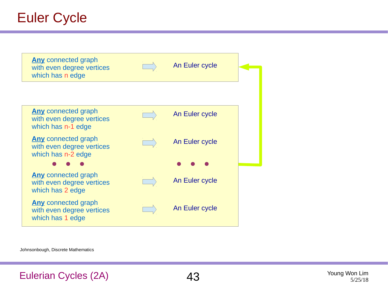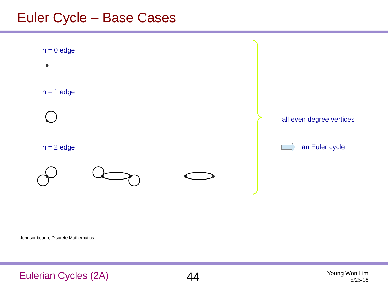### Euler Cycle – Base Cases

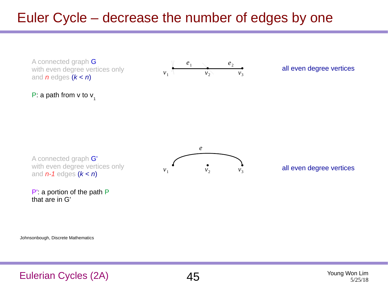## Euler Cycle – decrease the number of edges by one

A connected graph G with even degree vertices only and *n* edges (*k* < *n*)



#### all even degree vertices

P: a path from  $v$  to  $v_{1}$ 

A connected graph G' with even degree vertices only and *n-1* edges (*k* < *n*)

P': a portion of the path P that are in G'



#### all even degree vertices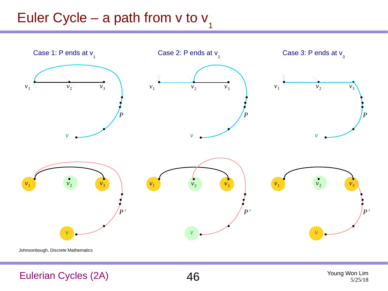#### Euler Cycle – a path from v to v 1



Johnsonbough, Discrete Mathematics

### Eulerian Cycles (2A)  $46$  Young Won Lim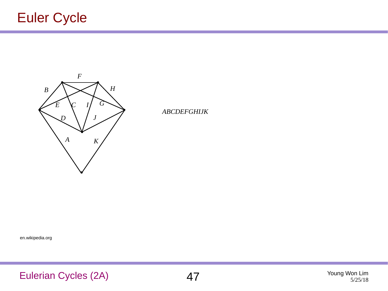

*ABCDEFGHIJK*

en.wikipedia.org

Eulerian Cycles (2A)  $47$ <sup>Young Won Lim</sup>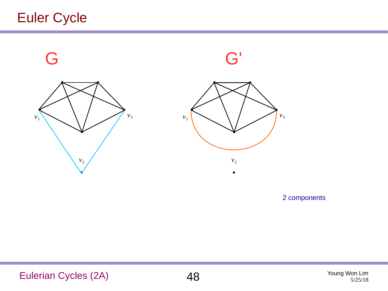

2 components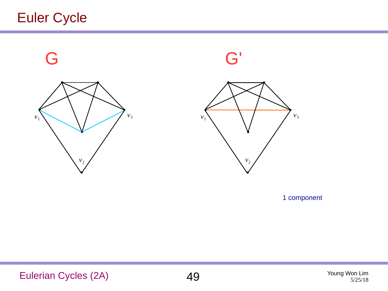

1 component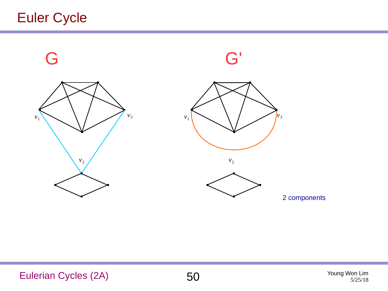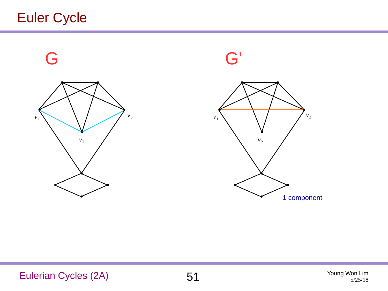

1 component

Eulerian Cycles (2A) 51 Young Won Lim